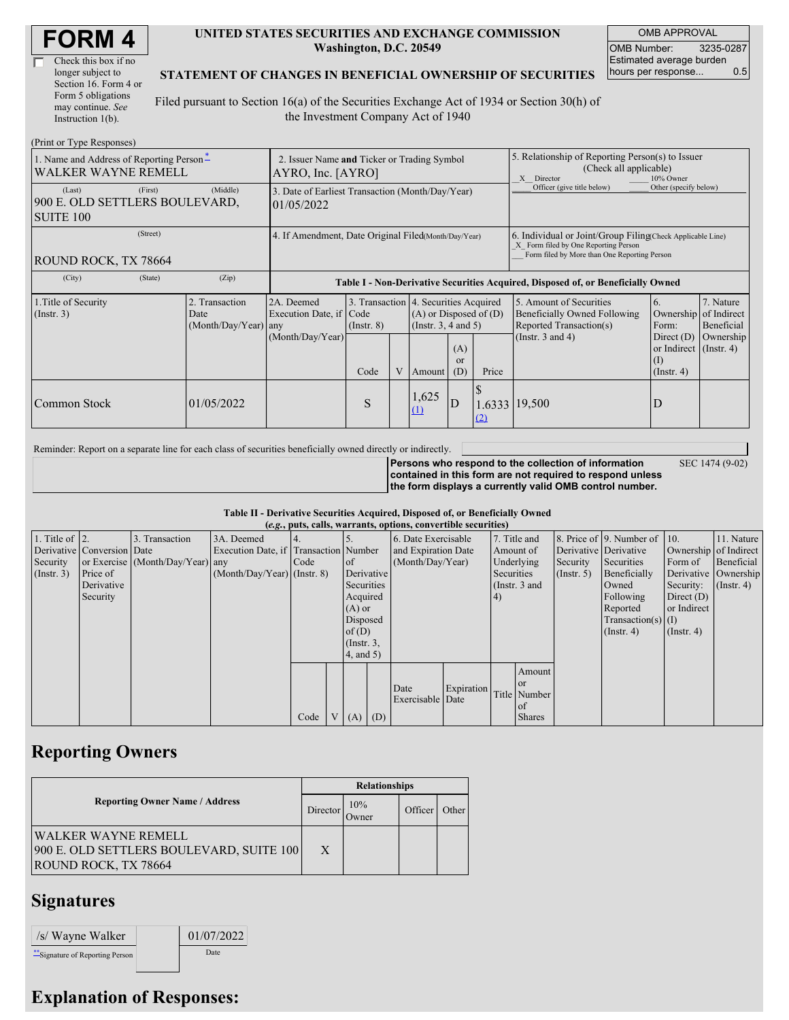| <b>FORM4</b> |
|--------------|
|--------------|

| Check this box if no  |
|-----------------------|
| longer subject to     |
| Section 16. Form 4 or |
| Form 5 obligations    |
| may continue. See     |
| Instruction 1(b).     |

#### **UNITED STATES SECURITIES AND EXCHANGE COMMISSION Washington, D.C. 20549**

OMB APPROVAL OMB Number: 3235-0287 Estimated average burden hours per response... 0.5

### **STATEMENT OF CHANGES IN BENEFICIAL OWNERSHIP OF SECURITIES**

Filed pursuant to Section 16(a) of the Securities Exchange Act of 1934 or Section 30(h) of the Investment Company Act of 1940

| (Print or Type Responses)                                               |                                                                                  |                                                                |                 |   |                                                                                             |                             |                                                                                                                                                    |                                                                                                             |                                                               |                                                     |
|-------------------------------------------------------------------------|----------------------------------------------------------------------------------|----------------------------------------------------------------|-----------------|---|---------------------------------------------------------------------------------------------|-----------------------------|----------------------------------------------------------------------------------------------------------------------------------------------------|-------------------------------------------------------------------------------------------------------------|---------------------------------------------------------------|-----------------------------------------------------|
| 1. Name and Address of Reporting Person-<br>WALKER WAYNE REMELL         | 2. Issuer Name and Ticker or Trading Symbol<br>AYRO, Inc. [AYRO]                 |                                                                |                 |   |                                                                                             |                             | 5. Relationship of Reporting Person(s) to Issuer<br>(Check all applicable)<br>X Director<br>10% Owner                                              |                                                                                                             |                                                               |                                                     |
| (First)<br>(Last)<br>900 E. OLD SETTLERS BOULEVARD,<br><b>SUITE 100</b> | (Middle)                                                                         | 3. Date of Earliest Transaction (Month/Day/Year)<br>01/05/2022 |                 |   |                                                                                             | Officer (give title below)  | Other (specify below)                                                                                                                              |                                                                                                             |                                                               |                                                     |
| (Street)<br>ROUND ROCK, TX 78664                                        | 4. If Amendment, Date Original Filed(Month/Day/Year)                             |                                                                |                 |   |                                                                                             |                             | 6. Individual or Joint/Group Filing Check Applicable Line)<br>X Form filed by One Reporting Person<br>Form filed by More than One Reporting Person |                                                                                                             |                                                               |                                                     |
| (City)<br>(State)                                                       | Table I - Non-Derivative Securities Acquired, Disposed of, or Beneficially Owned |                                                                |                 |   |                                                                                             |                             |                                                                                                                                                    |                                                                                                             |                                                               |                                                     |
| 1. Title of Security<br>(Insert. 3)                                     | Transaction<br>Date<br>$(Month/Day/Year)$ any                                    | 2A. Deemed<br>Execution Date, if Code<br>(Month/Day/Year)      | $($ Instr. $8)$ |   | 3. Transaction 4. Securities Acquired<br>$(A)$ or Disposed of $(D)$<br>(Insert. 3, 4 and 5) |                             |                                                                                                                                                    | 5. Amount of Securities<br>Beneficially Owned Following<br>Reported Transaction(s)<br>(Instr. $3$ and $4$ ) | 6.<br>Ownership<br>Form:<br>Direct $(D)$                      | 7. Nature<br>of Indirect<br>Beneficial<br>Ownership |
|                                                                         |                                                                                  |                                                                | Code            | V | Amount                                                                                      | (A)<br><sub>or</sub><br>(D) | Price                                                                                                                                              |                                                                                                             | or Indirect $($ Instr. 4 $)$<br>$\rm (1)$<br>$($ Instr. 4 $)$ |                                                     |
| Common Stock                                                            | 01/05/2022                                                                       |                                                                | S               |   | 1,625<br>$\Omega$                                                                           | D                           | (2)                                                                                                                                                | .6333 19,500                                                                                                | D                                                             |                                                     |

Reminder: Report on a separate line for each class of securities beneficially owned directly or indirectly.

**Persons who respond to the collection of information contained in this form are not required to respond unless the form displays a currently valid OMB control number.** SEC 1474 (9-02)

#### **Table II - Derivative Securities Acquired, Disposed of, or Beneficially Owned (***e.g.***, puts, calls, warrants, options, convertible securities)**

|                        | $(c, g, pus, can, wariants, vpuons, convcitum, scentuvs)$ |                                  |                                       |        |  |                 |  |                     |            |            |               |                       |                              |                       |                      |
|------------------------|-----------------------------------------------------------|----------------------------------|---------------------------------------|--------|--|-----------------|--|---------------------|------------|------------|---------------|-----------------------|------------------------------|-----------------------|----------------------|
| 1. Title of $\vert$ 2. |                                                           | 3. Transaction                   | 3A. Deemed                            |        |  |                 |  | 6. Date Exercisable |            |            | 7. Title and  |                       | 8. Price of 9. Number of 10. |                       | 11. Nature           |
|                        | Derivative Conversion Date                                |                                  | Execution Date, if Transaction Number |        |  |                 |  | and Expiration Date |            |            | Amount of     | Derivative Derivative |                              | Ownership of Indirect |                      |
| Security               |                                                           | or Exercise (Month/Day/Year) any |                                       | I Code |  | of              |  | (Month/Day/Year)    |            |            | Underlying    | Security              | Securities                   | Form of               | Beneficial           |
| (Insert. 3)            | Price of                                                  |                                  | $(Month/Day/Year)$ (Instr. 8)         |        |  | Derivative      |  |                     |            | Securities |               | $($ Instr. 5 $)$      | Beneficially                 |                       | Derivative Ownership |
|                        | Derivative                                                |                                  |                                       |        |  | Securities      |  |                     |            |            | (Instr. 3 and |                       | Owned                        | Security:             | $($ Instr. 4)        |
|                        | Security                                                  |                                  |                                       |        |  | Acquired        |  |                     |            | 4)         |               |                       | Following                    | Direct $(D)$          |                      |
|                        |                                                           |                                  |                                       |        |  | $(A)$ or        |  |                     |            |            |               |                       | Reported                     | or Indirect           |                      |
|                        |                                                           |                                  |                                       |        |  | Disposed        |  |                     |            |            |               |                       | Transaction(s) $(I)$         |                       |                      |
|                        |                                                           |                                  |                                       |        |  | of $(D)$        |  |                     |            |            |               |                       | $($ Instr. 4 $)$             | $($ Instr. 4 $)$      |                      |
|                        |                                                           |                                  |                                       |        |  | $($ Instr. $3,$ |  |                     |            |            |               |                       |                              |                       |                      |
|                        |                                                           |                                  |                                       |        |  | $4$ , and 5)    |  |                     |            |            |               |                       |                              |                       |                      |
|                        |                                                           |                                  |                                       |        |  |                 |  |                     |            |            | Amount        |                       |                              |                       |                      |
|                        |                                                           |                                  |                                       |        |  |                 |  | Date                | Expiration |            | or or         |                       |                              |                       |                      |
|                        |                                                           |                                  |                                       |        |  |                 |  | Exercisable Date    |            |            | Title Number  |                       |                              |                       |                      |
|                        |                                                           |                                  |                                       |        |  |                 |  |                     |            |            | of            |                       |                              |                       |                      |
|                        |                                                           |                                  |                                       | Code   |  | $V(A)$ (D)      |  |                     |            |            | <b>Shares</b> |                       |                              |                       |                      |

# **Reporting Owners**

|                                                                                         | <b>Relationships</b> |              |                      |       |  |  |  |
|-----------------------------------------------------------------------------------------|----------------------|--------------|----------------------|-------|--|--|--|
| <b>Reporting Owner Name / Address</b>                                                   | Director             | 10%<br>Jwner | Officer <sup>1</sup> | Other |  |  |  |
| WALKER WAYNE REMELL<br>900 E. OLD SETTLERS BOULEVARD, SUITE 100<br>ROUND ROCK, TX 78664 | X                    |              |                      |       |  |  |  |

## **Signatures**

| /s/ Wayne Walker                 | 01/07/2022 |
|----------------------------------|------------|
| ** Signature of Reporting Person | Date       |

## **Explanation of Responses:**